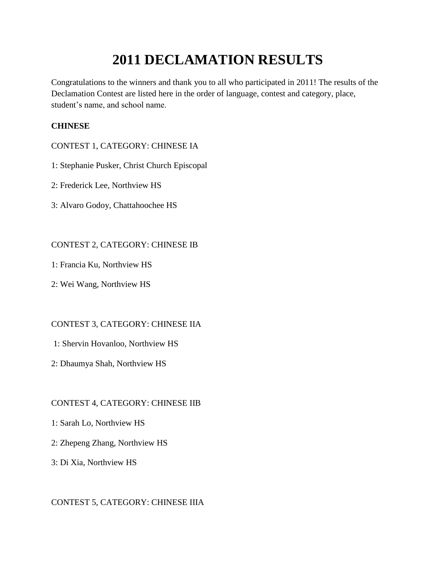# **2011 DECLAMATION RESULTS**

Congratulations to the winners and thank you to all who participated in 2011! The results of the Declamation Contest are listed here in the order of language, contest and category, place, student's name, and school name.

# **CHINESE**

## CONTEST 1, CATEGORY: CHINESE IA

- 1: Stephanie Pusker, Christ Church Episcopal
- 2: Frederick Lee, Northview HS
- 3: Alvaro Godoy, Chattahoochee HS

# CONTEST 2, CATEGORY: CHINESE IB

- 1: Francia Ku, Northview HS
- 2: Wei Wang, Northview HS

# CONTEST 3, CATEGORY: CHINESE IIA

## 1: Shervin Hovanloo, Northview HS

2: Dhaumya Shah, Northview HS

# CONTEST 4, CATEGORY: CHINESE IIB

- 1: Sarah Lo, Northview HS
- 2: Zhepeng Zhang, Northview HS
- 3: Di Xia, Northview HS

## CONTEST 5, CATEGORY: CHINESE IIIA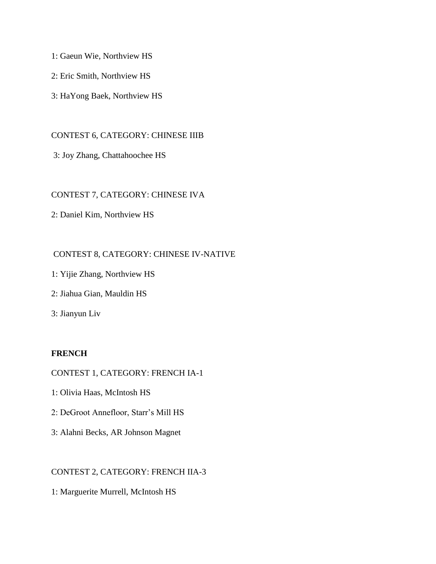1: Gaeun Wie, Northview HS

2: Eric Smith, Northview HS

3: HaYong Baek, Northview HS

## CONTEST 6, CATEGORY: CHINESE IIIB

3: Joy Zhang, Chattahoochee HS

## CONTEST 7, CATEGORY: CHINESE IVA

2: Daniel Kim, Northview HS

## CONTEST 8, CATEGORY: CHINESE IV-NATIVE

- 1: Yijie Zhang, Northview HS
- 2: Jiahua Gian, Mauldin HS

3: Jianyun Liv

## **FRENCH**

## CONTEST 1, CATEGORY: FRENCH IA-1

- 1: Olivia Haas, McIntosh HS
- 2: DeGroot Annefloor, Starr's Mill HS
- 3: Alahni Becks, AR Johnson Magnet

## CONTEST 2, CATEGORY: FRENCH IIA-3

1: Marguerite Murrell, McIntosh HS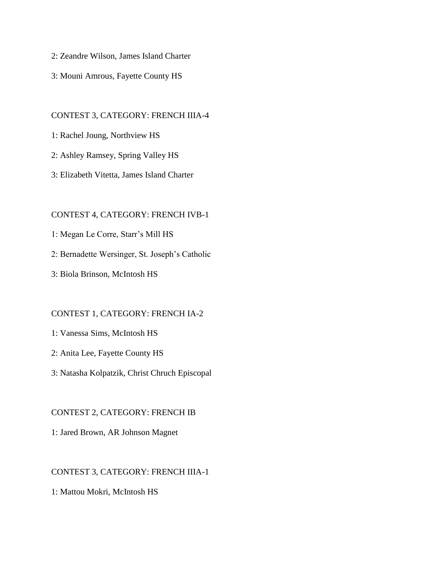- 2: Zeandre Wilson, James Island Charter
- 3: Mouni Amrous, Fayette County HS

#### CONTEST 3, CATEGORY: FRENCH IIIA-4

- 1: Rachel Joung, Northview HS
- 2: Ashley Ramsey, Spring Valley HS
- 3: Elizabeth Vitetta, James Island Charter

#### CONTEST 4, CATEGORY: FRENCH IVB-1

- 1: Megan Le Corre, Starr's Mill HS
- 2: Bernadette Wersinger, St. Joseph's Catholic
- 3: Biola Brinson, McIntosh HS

## CONTEST 1, CATEGORY: FRENCH IA-2

- 1: Vanessa Sims, McIntosh HS
- 2: Anita Lee, Fayette County HS
- 3: Natasha Kolpatzik, Christ Chruch Episcopal

#### CONTEST 2, CATEGORY: FRENCH IB

1: Jared Brown, AR Johnson Magnet

## CONTEST 3, CATEGORY: FRENCH IIIA-1

1: Mattou Mokri, McIntosh HS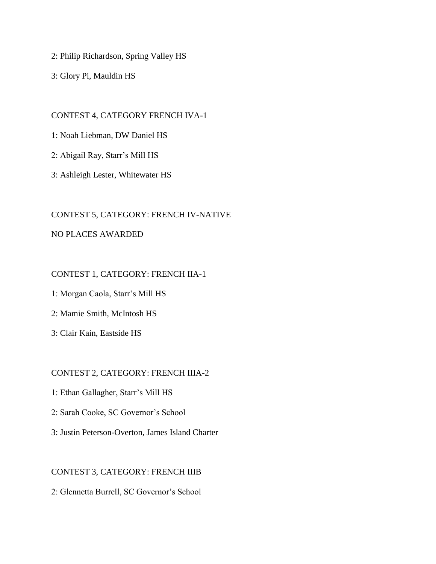2: Philip Richardson, Spring Valley HS

3: Glory Pi, Mauldin HS

## CONTEST 4, CATEGORY FRENCH IVA-1

1: Noah Liebman, DW Daniel HS

2: Abigail Ray, Starr's Mill HS

3: Ashleigh Lester, Whitewater HS

## CONTEST 5, CATEGORY: FRENCH IV-NATIVE

## NO PLACES AWARDED

## CONTEST 1, CATEGORY: FRENCH IIA-1

1: Morgan Caola, Starr's Mill HS

2: Mamie Smith, McIntosh HS

3: Clair Kain, Eastside HS

## CONTEST 2, CATEGORY: FRENCH IIIA-2

- 1: Ethan Gallagher, Starr's Mill HS
- 2: Sarah Cooke, SC Governor's School
- 3: Justin Peterson-Overton, James Island Charter

## CONTEST 3, CATEGORY: FRENCH IIIB

2: Glennetta Burrell, SC Governor's School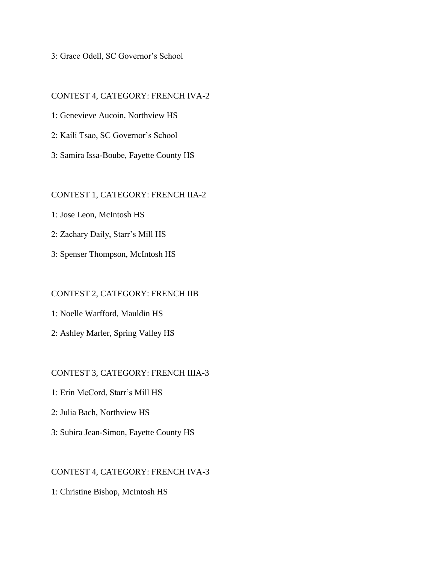3: Grace Odell, SC Governor's School

CONTEST 4, CATEGORY: FRENCH IVA-2 1: Genevieve Aucoin, Northview HS 2: Kaili Tsao, SC Governor's School 3: Samira Issa-Boube, Fayette County HS

#### CONTEST 1, CATEGORY: FRENCH IIA-2

- 1: Jose Leon, McIntosh HS
- 2: Zachary Daily, Starr's Mill HS
- 3: Spenser Thompson, McIntosh HS

### CONTEST 2, CATEGORY: FRENCH IIB

- 1: Noelle Warfford, Mauldin HS
- 2: Ashley Marler, Spring Valley HS

## CONTEST 3, CATEGORY: FRENCH IIIA-3

- 1: Erin McCord, Starr's Mill HS
- 2: Julia Bach, Northview HS
- 3: Subira Jean-Simon, Fayette County HS

## CONTEST 4, CATEGORY: FRENCH IVA-3

1: Christine Bishop, McIntosh HS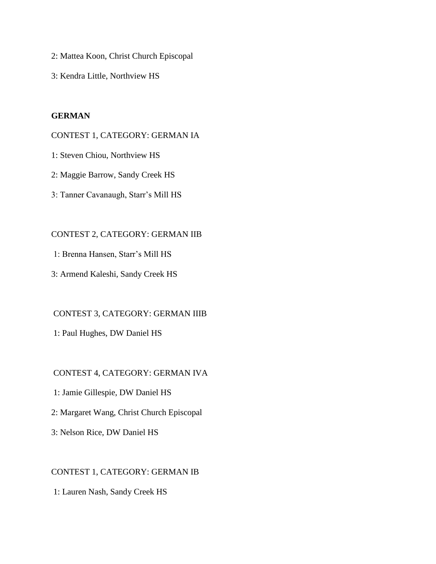- 2: Mattea Koon, Christ Church Episcopal
- 3: Kendra Little, Northview HS

## **GERMAN**

#### CONTEST 1, CATEGORY: GERMAN IA

- 1: Steven Chiou, Northview HS
- 2: Maggie Barrow, Sandy Creek HS
- 3: Tanner Cavanaugh, Starr's Mill HS

#### CONTEST 2, CATEGORY: GERMAN IIB

- 1: Brenna Hansen, Starr's Mill HS
- 3: Armend Kaleshi, Sandy Creek HS

## CONTEST 3, CATEGORY: GERMAN IIIB

1: Paul Hughes, DW Daniel HS

## CONTEST 4, CATEGORY: GERMAN IVA

- 1: Jamie Gillespie, DW Daniel HS
- 2: Margaret Wang, Christ Church Episcopal
- 3: Nelson Rice, DW Daniel HS

## CONTEST 1, CATEGORY: GERMAN IB

1: Lauren Nash, Sandy Creek HS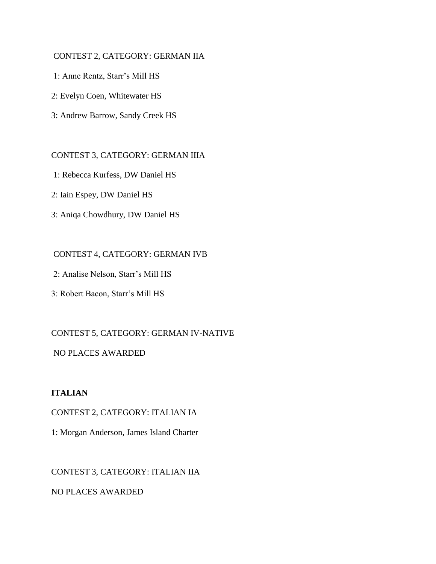## CONTEST 2, CATEGORY: GERMAN IIA

- 1: Anne Rentz, Starr's Mill HS
- 2: Evelyn Coen, Whitewater HS
- 3: Andrew Barrow, Sandy Creek HS

#### CONTEST 3, CATEGORY: GERMAN IIIA

- 1: Rebecca Kurfess, DW Daniel HS
- 2: Iain Espey, DW Daniel HS
- 3: Aniqa Chowdhury, DW Daniel HS

## CONTEST 4, CATEGORY: GERMAN IVB

- 2: Analise Nelson, Starr's Mill HS
- 3: Robert Bacon, Starr's Mill HS

## CONTEST 5, CATEGORY: GERMAN IV-NATIVE

## NO PLACES AWARDED

# **ITALIAN**

CONTEST 2, CATEGORY: ITALIAN IA

1: Morgan Anderson, James Island Charter

# CONTEST 3, CATEGORY: ITALIAN IIA

NO PLACES AWARDED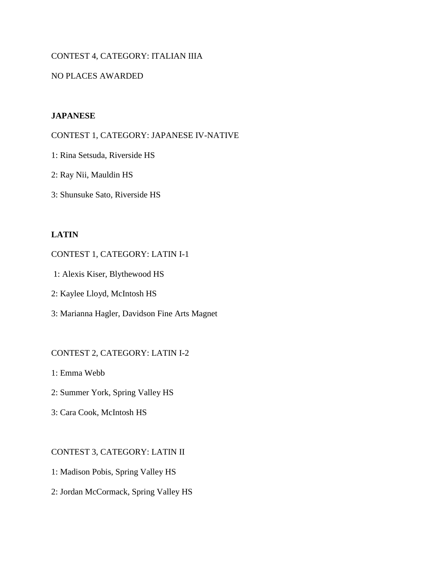## CONTEST 4, CATEGORY: ITALIAN IIIA

## NO PLACES AWARDED

## **JAPANESE**

CONTEST 1, CATEGORY: JAPANESE IV-NATIVE

1: Rina Setsuda, Riverside HS

- 2: Ray Nii, Mauldin HS
- 3: Shunsuke Sato, Riverside HS

## **LATIN**

#### CONTEST 1, CATEGORY: LATIN I-1

- 1: Alexis Kiser, Blythewood HS
- 2: Kaylee Lloyd, McIntosh HS
- 3: Marianna Hagler, Davidson Fine Arts Magnet

## CONTEST 2, CATEGORY: LATIN I-2

1: Emma Webb

- 2: Summer York, Spring Valley HS
- 3: Cara Cook, McIntosh HS

## CONTEST 3, CATEGORY: LATIN II

- 1: Madison Pobis, Spring Valley HS
- 2: Jordan McCormack, Spring Valley HS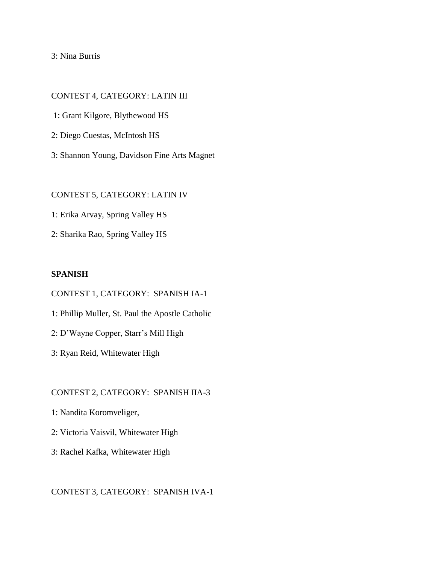3: Nina Burris

#### CONTEST 4, CATEGORY: LATIN III

- 1: Grant Kilgore, Blythewood HS
- 2: Diego Cuestas, McIntosh HS
- 3: Shannon Young, Davidson Fine Arts Magnet

## CONTEST 5, CATEGORY: LATIN IV

- 1: Erika Arvay, Spring Valley HS
- 2: Sharika Rao, Spring Valley HS

#### **SPANISH**

#### CONTEST 1, CATEGORY: SPANISH IA-1

- 1: Phillip Muller, St. Paul the Apostle Catholic
- 2: D'Wayne Copper, Starr's Mill High
- 3: Ryan Reid, Whitewater High

## CONTEST 2, CATEGORY: SPANISH IIA-3

- 1: Nandita Koromveliger,
- 2: Victoria Vaisvil, Whitewater High
- 3: Rachel Kafka, Whitewater High

## CONTEST 3, CATEGORY: SPANISH IVA-1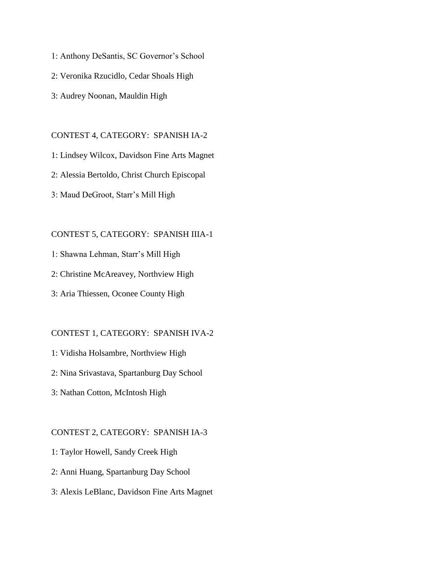- 1: Anthony DeSantis, SC Governor's School
- 2: Veronika Rzucidlo, Cedar Shoals High
- 3: Audrey Noonan, Mauldin High

#### CONTEST 4, CATEGORY: SPANISH IA-2

- 1: Lindsey Wilcox, Davidson Fine Arts Magnet
- 2: Alessia Bertoldo, Christ Church Episcopal
- 3: Maud DeGroot, Starr's Mill High

#### CONTEST 5, CATEGORY: SPANISH IIIA-1

- 1: Shawna Lehman, Starr's Mill High
- 2: Christine McAreavey, Northview High
- 3: Aria Thiessen, Oconee County High

## CONTEST 1, CATEGORY: SPANISH IVA-2

- 1: Vidisha Holsambre, Northview High
- 2: Nina Srivastava, Spartanburg Day School
- 3: Nathan Cotton, McIntosh High

#### CONTEST 2, CATEGORY: SPANISH IA-3

- 1: Taylor Howell, Sandy Creek High
- 2: Anni Huang, Spartanburg Day School
- 3: Alexis LeBlanc, Davidson Fine Arts Magnet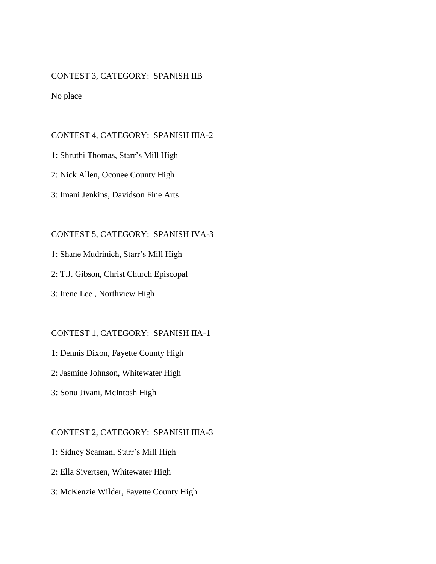## CONTEST 3, CATEGORY: SPANISH IIB

#### No place

#### CONTEST 4, CATEGORY: SPANISH IIIA-2

- 1: Shruthi Thomas, Starr's Mill High
- 2: Nick Allen, Oconee County High
- 3: Imani Jenkins, Davidson Fine Arts

#### CONTEST 5, CATEGORY: SPANISH IVA-3

- 1: Shane Mudrinich, Starr's Mill High
- 2: T.J. Gibson, Christ Church Episcopal
- 3: Irene Lee , Northview High

## CONTEST 1, CATEGORY: SPANISH IIA-1

- 1: Dennis Dixon, Fayette County High
- 2: Jasmine Johnson, Whitewater High
- 3: Sonu Jivani, McIntosh High

#### CONTEST 2, CATEGORY: SPANISH IIIA-3

- 1: Sidney Seaman, Starr's Mill High
- 2: Ella Sivertsen, Whitewater High
- 3: McKenzie Wilder, Fayette County High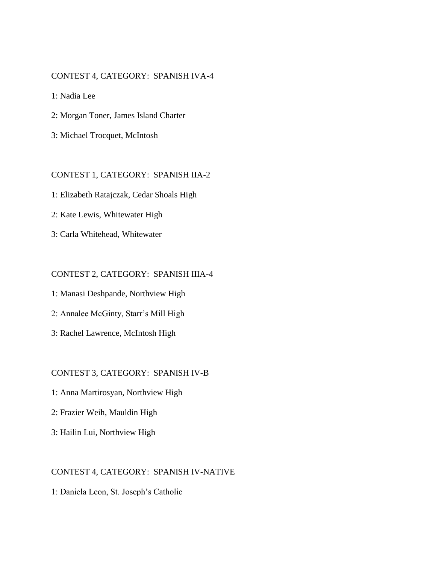## CONTEST 4, CATEGORY: SPANISH IVA-4

1: Nadia Lee

- 2: Morgan Toner, James Island Charter
- 3: Michael Trocquet, McIntosh

#### CONTEST 1, CATEGORY: SPANISH IIA-2

- 1: Elizabeth Ratajczak, Cedar Shoals High
- 2: Kate Lewis, Whitewater High
- 3: Carla Whitehead, Whitewater

#### CONTEST 2, CATEGORY: SPANISH IIIA-4

- 1: Manasi Deshpande, Northview High
- 2: Annalee McGinty, Starr's Mill High
- 3: Rachel Lawrence, McIntosh High

### CONTEST 3, CATEGORY: SPANISH IV-B

- 1: Anna Martirosyan, Northview High
- 2: Frazier Weih, Mauldin High
- 3: Hailin Lui, Northview High

#### CONTEST 4, CATEGORY: SPANISH IV-NATIVE

1: Daniela Leon, St. Joseph's Catholic